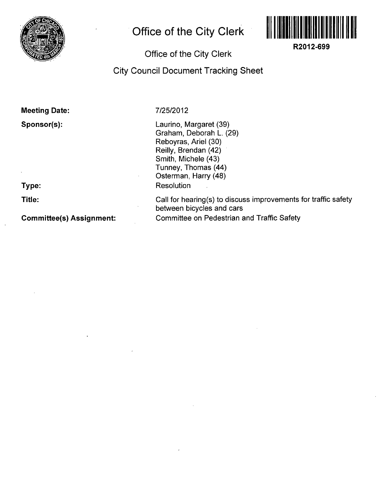

## **Office of the City Clerk**



**R2012-699** 

## **Office of the City Clerk**

**City Council Document Tracking Sheet** 

**Meeting Date:** 

**Sponsor(s):** 

**Type:** 

**Title:** 

**Committee(s) Assignment:** 

**7/25/2012** 

Laurino, Margaret (39) Graham, Deborah L. (29) Reboyras, Ariel (30) Reilly, Brendan (42) Smith, Michele (43) Tunney, Thomas (44) Osterman, Harry (48) Resolution

Call for hearing(s) to discuss improvements for traffic safety between bicycles and cars Committee on Pedestrian and Traffic Safety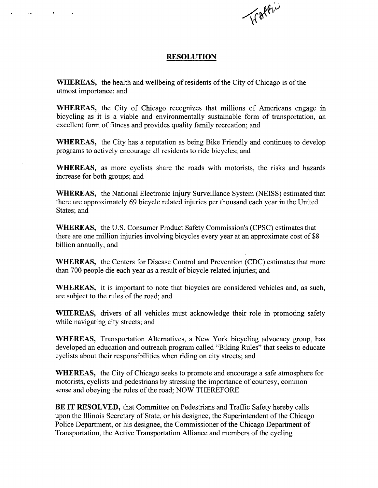

## **RESOLUTION**

WHEREAS, the health and wellbeing of residents of the City of Chicago is of the utmost importance; and

WHEREAS, the City of Chicago recognizes that millions of Americans engage in bicycling as it is a viable and environmentally sustainable form of transportation, an excellent form of fitness and provides quality family recreation; and

WHEREAS, the City has a reputation as being Bike Friendly and continues to develop programs to actively encourage all residents to ride bicycles; and

WHEREAS, as more cyclists share the roads with motorists, the risks and hazards increase for both groups; and

WHEREAS, the National Electronic Injury Surveillance System (NEISS) estimated that there are approximately 69 bicycle related injuries per thousand each year in the United States; and

WHEREAS, the U.S. Consumer Product Safety Commission's (CPSC) estimates that there are one million injuries involving bicycles every year at an approximate cost of \$8 billion annually; and

WHEREAS, the Centers for Disease Control and Prevention (CDC) estimates that more than 700 people die each year as a result of bicycle related injuries; and

WHEREAS, it is important to note that bicycles are considered vehicles and, as such, are subject to the rules of the road; and

WHEREAS, drivers of all vehicles must acknowledge their role in promoting safety while navigating city streets; and

WHEREAS, Transportation Alternatives, a New York bicycling advocacy group, has developed an education and outreach program called "Biking Rules" that seeks to educate cyclists about their responsibilities when riding on city streets; and

WHEREAS, the City of Chicago seeks to promote and encourage a safe atmosphere for motorists, cyclists and pedestrians by stressing the importance of courtesy, common sense and obeying the rules of the road; NOW THEREFORE

BE IT RESOLVED, that Committee on Pedestrians and Traffic Safety hereby calls upon the Illinois Secretary of State, or his designee, the Superintendent of the Chicago Police Department, or his designee, the Commissioner of the Chicago Department of Transportation, the Active Transportation Alliance and members of the cycling